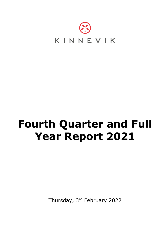

# **Fourth Quarter and Full Year Report 2021**

Thursday, 3rd February 2022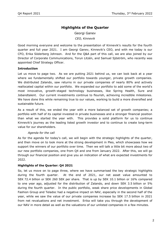# **Highlights of the Quarter**

Georgi Ganev *CEO, Kinnevik*

Good morning everyone and welcome to the presentation of Kinnevik's results for the fourth quarter and full year 2021. I am Georgi Ganev, Kinnevik's CEO, and with me today is our CFO, Erika Söderberg Johnson. And for the Q&A part of this call, we are also joined by our Director of Corporate Communications, Torun Litzén, and Samuel Sjöström, who recently was appointed Chief Strategy Officer.

# **Introduction**

Let us move to page two. As we are putting 2021 behind us, we can look back at a year where we fundamentally shifted our portfolio towards younger, private growth companies. We distributed Zalando, saw returns in our private companies of nearly 80% and actively reallocated capital within our portfolio. We expanded our portfolio to add some of the world's most innovative, growth-staged technology businesses, like Spring Health, Sure and Jobandtalent. Our current investments continue to flourish, achieving incredible milestones. We have done this while remaining true to our values, working to build a more diversified and sustainable future.

As a result of this, we ended the year with a more balanced set of growth companies; a portfolio with half of its capital invested in private businesses and a stronger financial position than what we started the year with. This provides a solid platform for us to continue Kinnevik's journey as the leading listed growth investor and to continue to create long-term value for our shareholders.

# *Agenda for the call*

As for the agenda for today's call, we will begin with the strategic highlights of the quarter, and then move on to look more at the strong development in Pleo, which showcases how we support the winners of our portfolio over time. Then we will talk a little bit more about two of our new portfolio companies, one from Q4 and one from January 2022. After this, we will go through our financial position and give you an indication of what are expected investments for 2022.

# **Highlights of the Quarter: Q4 2021**

So, let us move on to page three, where we have summarised the key strategic highlights during the fourth quarter. At the end of 2021, our net asset value amounted to SEK 72.4 billion or SEK 260 SEK per share. That is up by SEK 10.1 billion or 16% compared to one year ago, adjusted for the distribution of Zalando, and down SEK 3.5 billion or 5% during the fourth quarter. In the public portfolio, weak share price developments in Global Fashion Group and Teladoc had a negative impact on NAV, especially in the second half of the year, while we saw the value of our private companies increase by SEK 17.5 billion in 2021 from net revaluations and net investment. Erika will take you through the development of our NAV in more detail as well as the valuations of our unlisted companies in a few minutes.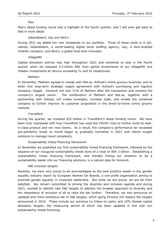#### *Pleo*

Pleo's latest funding round was a highlight of the fourth quarter, and I will soon get back to that in more detail.

# *Jobandtalent, Vay and Nick's*

During 2021 we added ten new companies to our portfolio. Three of these came in in Q4: namely Jobandtalent, a world-leading digital temp staffing agency; Vay, a tech-enabled mobility company; and Nick's, a global food-tech innovator.

# *VillageMD*

Capital allocation activity was high throughout 2021 and remained so also in the fourth quarter when we released 5.3 billion SEK from partial divestments of our VillageMD and Teladoc investments at returns exceeding 7x and 5x respectively.

#### *Mathem*

In December, Mathem agreed to merge with Mat.se, Axfood's online grocery business, and to enter into long-term strategic supply agreement with Axfood's purchasing and logistics company, Dagab. Kinnevik will own 31% of Mathem after the transaction and remains the company's largest owner. The combination of Mathem and Mat.se, together with a partnership with Axfood, will create synergies, increase scale, and enable the combined company to further improve its customer proposition in the direct-to-home online grocery markets.

# *TravelPerk*

During the quarter, we invested \$25 million in TravelPerk's latest funding round. We have been truly impressed with how TravelPerk has used the COVID crisis to further build its bestin-class product and win new clients. As a result, the company's performance far exceeded pre-pandemic levels as travel began to gradually normalise in 2021 and clients sought solutions to manage travel complexity.

# *Sustainability linked financing framework*

In November we published our first sustainability linked financing framework, followed by the issuance of our inaugural sustainability linked bond of a total of SEK 2 billion. Establishing a sustainability linked financing framework, and thereby linking our ambition to be a sustainability leader into our financing solutions, is a natural step for Kinnevik.

# *D&I inclusion targets*

Recently, we were very proud to be acknowledged as the best practice leader in the gender equality industry report by European Women On Boards, a non-profit organisation aiming to promote gender equality in corporate leadership. But while we are proud, we are far from satisfied. We remain committed to driving the diversity and inclusion agenda and during 2021, worked to identify new D&I targets to address the broader approach to diversity and the importance of inclusion of all to raise the bar further. Therefore, we now announce an updated and more ambitious set of D&I targets, which going forward will replace the targets announced in 2019. These include our previous no follow-on policy and 10% female capital allocation targets, the measuring period of which has been updated in line with our sustainability linked financing.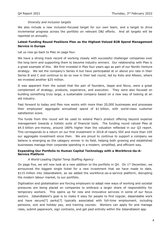# *Diversity and inclusion targets*

We also include a new inclusion-focused target for our own team, and a target to drive incremental progress across the portfolio on relevant D&I efforts. And all targets will be reported on annually.

# **Latest Funding Round Positions Pleo as the Highest-Valued B2B Spend Management Service in Europe**

Let us now go back to Pleo on page four.

We have a strong track record of working closely with successful challenger companies over the long term and supporting them to become industry winners. Our relationship with Pleo is a great example of this. We first invested in Pleo four years ago as part of our Nordic Venture strategy. We led the company's Series A but have participated at or above pro rata in their Series B and C and continue to do so now in their last round, led by Koto and Alkeon, where we invested another \$25 million.

It was apparent from the outset that the pair of founders, Jeppe and Nicco, were a great complement of strategy, products, experience, and execution. They were also focused on building something truly large, a sustainable company based on a new way of looking at an old industry.

Fast forward to today and Pleo now works with more than 20,000 businesses and processes their employees' aggregate annualised spend of \$1 billion, with world-class customer satisfaction score.

The funds from this round will be used to extend Pleo's product offering beyond expense management towards a holistic suite of financial tools. The funding round valued Pleo at \$4.5 billion pre-money, around 180% higher than the valuation reflected in our Q3 report. This corresponds to a return on our first investment in 2018 of nearly 55X and more than 10X our aggregate investment since then. We are proud to continue to support a company we believe is emerging as the category winner in its field, helping both growing and established businesses manage their corporate spending in a modern, simplified, and efficient way.

# **Expanding Our Portfolio to Human Capital Technology with a Workforce-As-A-Service Platform**

# *A World-Leading Digital Temp Staffing Agency*

On page five, we will now look at a new addition to the portfolio in  $Q4$ . On  $1^{st}$  December, we announced the biggest single ticket for a new investment that we have made to date, \$115 million into Jobandtalent, as we added the workforce-as-a-service platform, disrupting the modern labour market, to our portfolio.

Digitisation and globalisation are forcing employers to adapt new ways of working and societal pressures are being placed on companies to embrace a larger share of responsibility for temporary workers. This opens up for new and innovative services in some of our focus sectors. Jobandtalent's goal is to make it easy for people to find regular, dependable work and have secure[?] perks[?] typically associated with full-time employment, including pensions, sick and holiday pay, and training courses. Workers can apply for and manage roles, submit paperwork, sign contracts, and get paid entirely within the Jobandtalent app.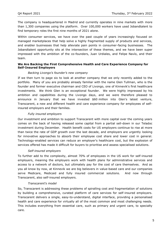The company is headquartered in Madrid and currently operates in nine markets with more than 1,300 companies using the platform. Over 100,000 workers have used Jobandtalent to find temporary roles the first nine months of 2021 alone.

Within consumer services, we have over the past couple of years increasingly focused on managed marketplaces that help solve a highly fragmented supply of products and services, and enabler businesses that help alleviate pain points in consumer-facing businesses. The Jobandtalent opportunity sits at the intersection of these themes, and we have been super impressed with the ambition of the co-founders, Juan Urdiales, and Felipe Navío, and their team.

# **We Are Backing the First Comprehensive Health and Care Experience Company for Self-Insured Employers**

#### *Backing Livongo's founder's new company*

If we then turn to page six to look at another company that we only recently added to the portfolio. Many of you are probably already familiar with the name Glen Tullman, who is the founder and former executive chairman and CEO of Livongo, one of Kinnevik's first healthcare investments. We think Glen is an exceptional founder. We were highly impressed by his ambition and capabilities during the Livongo days, and we were therefore pleased to announce in January that we have invested \$60 million into Glen's latest venture, Transcarent, a new and different health and care experience company for employees of selfinsured employers and their families.

#### *Fully insured employers*

Our investment and ambition to support Transcarent with more capital over the coming years comes on the back of having released some capital from a partial sell-down in our Teladoc investment during December. Health benefit costs for US employers continue to rise at more than twice the rate of GDP growth over the last decade, and employers are urgently looking for innovative approaches to absorb their employee cost share and lower cost in general. Technology-enabled services can reduce an employer's healthcare cost, but the explosion of services offered has made it difficult for buyers to prioritise and assess specialised solutions.

# *Self-insured employers*

To further add to the complexity, almost 70% of employees in the US work for self-insured employers, meaning the employers work with health plans for administrative services and access to a network of doctors, but ultimately pay for the cost of care themselves. And as you all know by now, at Kinnevik we are big believers in value-based care and our companies serve Medicare, Medicaid and fully insured commercial solutions. And now through Transcarent, also self-insured employers.

#### *Transcarent's model*

So, Transcarent is addressing these problems of spiralling cost and fragmentation of solutions by building a comprehensive, curated platform of care services for self-insured employers. Transcarent delivers a single, easy-to-understand, digital interface, providing a personalised health and care experience for virtually all of the most common and most challenging needs. This includes everything from essential care, such as primary and urgent care, to specialty care.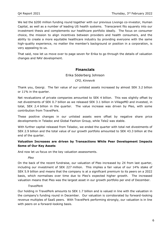We led the \$200 million funding round together with our previous Livongo co-investor, Human Capital, as well as a number of leading US health systems. Transcarent fits squarely into our investment thesis and complements our healthcare portfolio ideally. The focus on consumer choice, the mission to align incentives between providers and health consumers, and the ability to create a more equitable healthcare industry by providing everyone with the same high-quality experience, no matter the member's background or position in a corporation, is very appealing to us.

That said, now let us move over to page seven for Erika to go through the details of valuation changes and NAV development.

# **Financials**

# Erika Söderberg Johnson

*CFO, Kinnevik*

Thank you, Georgi. The fair value of our unlisted assets increased by almost SEK 3.2 billion or 11% in the quarter.

Net revaluations of private companies amounted to SEK 4 billion. This was slightly offset by net divestments of SEK 0.7 billion as we released SEK 3.1 billion in VillageMD and invested, in total, SEK 2.4 billion in the quarter. The value increase was driven by Pleo, with some contribution from TravelPerk.

These positive changes in our unlisted assets were offset by negative share price developments in Teladoc and Global Fashion Group, while Tele2 was stable.

With further capital released from Teladoc, we ended the quarter with total net divestments of SEK 2.9 billion and the total value of our growth portfolio amounted to SEK 43.3 billion at the end of the quarter.

# **Valuation Increases are driven by Transactions While Peer Development Impacts Some of Our Key Assets**

And now let us focus on the key valuation assessments.

#### *Pleo*

On the back of the recent fundraise, our valuation of Pleo increased by 2X from last quarter, including our investment of SEK 227 million. This implies a fair value of our 14% stake of SEK 5.9 billion and means that the company is at a significant premium to its peers on a 2022 basis, which normalises over time due to Pleo's expected higher growth. The increased valuation means that Pleo was the largest asset in our growth portfolio per end of December.

# *TravelPerk*

Our holding in TravelPerk amounts to SEK 1.7 billion and is valued in line with the valuation in the company's funding round in December. Our valuation is corroborated by forward-looking revenue multiples of SaaS peers. With TravelPerk performing strongly, our valuation is in line with peers on a forward-looking basis.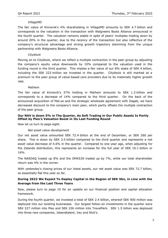# *VillageMD*

The fair value of Kinnevik's 4% shareholding in VillageMD amounts to SEK 4.7 billion and corresponds to the valuation in the transaction with Walgreens Boots Alliance announced in the fourth quarter. The valuation remains stable in spite of peers' multiples trading down by around 20% in the quarter, due to the recency of the transaction but also reflective of the company's structural advantage and strong growth trajectory stemming from the unique partnership with Walgreens Boots Alliance.

## *Cityblock*

Moving on to Cityblock, where we reflect a multiple contraction in the peer group by adjusting the company's equity value downwards by 10% compared to the valuation used in the funding round in the third quarter. This implies a fair value of our 8% stake of SEK 4 billion, including the SEK 223 million we invested in the quarter. Cityblock is still marked at a premium to the peer group of value-based care providers due to its materially higher growth rate.

#### *Mathem*

The fair value of Kinnevik's 37% holding in Mathem amounts to SEK 1.3 billion and corresponds to a decrease of 14% compared to the third quarter. On the back of the announced acquisition of Mat.se and the strategic wholesale agreement with Dagab, we have decreased discount to the company's main peer, which partly offsets the multiple contraction of the peer group.

# **Our NAV is down 5% in The Quarter, As Soft Trading in Our Public Assets Is Partly Offset by Pleo's Valuation Boost in Its Last Funding Round**

Now let us turn to page eight.

#### *Net asset value development*

Our net asset value amounted SEK 72.4 billion at the end of December, or SEK 260 per share. This is down by SEK 3.5 billion compared to the third quarter and represents a net asset value decrease of 4.6% in the quarter. Compared to one year ago, when adjusting for the Zalando distribution, this represents an increase for the full year of SEK 10.1 billion or 16%.

The NASDAQ traded up 8% and the OMXS30 traded up by 7%, while our total shareholder return was 4% in the corner.

With yesterday's closing prices of our listed assets, our net asset value was SEK 72.7 billion, so essentially flat this year so far.

# **During 2022 We Expect To Deploy Capital in the Region of SEK 5bn, in Line with the Average from the Last Three Years**

Now, please turn to page 10 for an update on our financial position and capital allocation framework.

During the fourth quarter, we invested a total of SEK 2.4 billion, whereof SEK 900 million was deployed into our existing businesses. Our largest follow-on investments in the quarter were SEK 227 million into Pleo and SEK 226 million into TravelPerk. SEK 1.5 billion was deployed into three new companies, Jobandtalent, Vay and Nick's.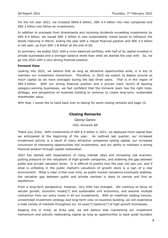For the full year 2021, we invested SEK6.4 billion; SEK 4.4 billion into new companies and SEK 2 billion into follow-on investments.

In addition to proceeds from divestments and incoming dividends exceeding investments by SEK 0.9 billion, we issued SEK 2 billion in new sustainability linked bonds to refinance the bonds maturing in March, ending the year with a robust financial position and SEK 4.5 billion in net cash, up from SEK 1.8 billion at the end of Q3.

In summary, we ended 2021 with a more balanced portfolio, with half of its capital invested in private businesses and a stronger balance sheet than what we started the year with. So, we go into 2022 with a very strong financial position.

#### **Forward View**

Looking into 2022, we believe that as long as attractive opportunities arise, it is key to maintain our investment momentum. Therefore, in 2022 we expect to deploy around as much capital as we have averaged during the last three years. That is in the region of SEK 5 billion. With our strong financial position and a proven track record of backing category-winning businesses, we feel confident that the Kinnevik team has the right tools, strategy, and perspective on business building to continue to create long-term, sustainable shareholder value.

With that, I would like to hand back over to Georgi for some closing remarks and page 10.

# **Closing Remarks**

Georgi Ganev

# *CEO, Kinnevik AB*

Thank you, Erika. With investments of SEK 6.4 billion in 2021, we deployed more capital than we anticipated at the beginning of the year. As outlined last quarter, our increased investment activity is a result of many attractive companies raising capital, our increased conversion of interesting opportunities into investments, and our ability to maintain a strong financial position through capital reallocation.

2022 has started with expectations of rising interest rates and increasing risk aversion, putting pressure on the valuations of high-growth companies, and widening the gap between public and private valuation levels. It is difficult to predict how the year will pan out, and if what is unfolding in the public market's valuations of growth stock is a sign of a new environment. What is clear is that over time, as public market valuations eventually stabilise, the valuation gap between public and private markets is likely to narrow and find an equilibrium.

From a long-term perspective, however, very little has changed. We continue to focus on secular growth, economic moats[?] and sustainable unit economics, and assume multiple contraction from our entry levels in all our investments. With an indefinite holding horizon, unrestricted investment strategy and long-term view on business building, we will experience a wide variety of markets throughout our 10-year[?] backers[?] of high-growth businesses.

Keeping this in mind, as Erika said, we still believe that maintaining our investment momentum and actively reallocating capital as long as opportunities to back great founders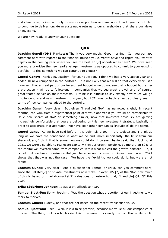and ideas arise, is key, not only to ensure our portfolio remains vibrant and dynamic but also to continue to deliver long-term sustainable returns to our shareholders that share our views on investing.

We are now ready to answer your questions.

# **Q&A**

**Joachim Gunell (DNB Markets):** Thank you very much. Good morning. Can you perhaps comment here with regards to the financial muscle you currently have and capital you want to deploy in the coming year where you see the best IRR[?] opportunities here? We have seen you more prioritise the new, earlier-stage investments as opposed to commit to your existing portfolio. Is this something we can continue to expect?

**Georgi Ganev:** Thank you, Joachim, for your question. I think we had a very active year and added 10 new companies in the portfolio. It is not likely that we will do that every year. We have said that a great part of our investment budget – we do not see that a budget but rather a projection – will go to follow-ons in companies that we see great growth and, of course, great teams deliver on their forecasts. I think it is difficult to say exactly how much will go into follow-ons and new investment this year, but 2021 was probably an extraordinary year in terms of new companies added to the portfolio.

**Joachim Gunell:** Very clear. But given [inaudible] NAV has narrowed slightly in recent months, can you, from a hypothetical point of view, elaborate if you would be comfortable to issue new shares at NAV or something similar, now that investors obviously are getting increasingly comfortable that you are delivering on this new investment strategy, basically in order to accelerate that approach. We have seen other companies [inaudible] do the same.

**Georgi Ganev:** As we have said before, it is definitely a tool in the toolbox and I think as long as we have the confidence in what we do and, more importantly, the trust from our shareholders, I think that is something we could do. However, having said that, looking at 2021, we were also able to reallocate capital within our growth portfolio, so more than 80% of the capital we invested came from companies within what we call the growth portfolio. So, it is not that we have to raise capital just because we increase our investment pace. 2021 shows that that was not the case. We have the flexibility, we could do it, but we are not forced.

**Joachim Gunell:** Very clear. And a question for Samuel or Erika, can you comment here, since the unlisted[?] or private investments now make up over 50%[?] of the NAV, how much of this is based on mark-to-market[?] valuations, or return to that, [inaudible] Q1, Q2 this year?

**Erika Söderberg Johnson:** It was a bit difficult to hear.

**Samuel Sjöström:** Sorry, Joachim. Was the question what proportion of our investments we mark to market?

**Joachim Gunell:** Exactly, and that are not based on the recent transaction value.

**Samuel Sjöström:** I see. Well, it is a false premise, because we value all our companies at market. The thing that is a bit trickier this time around is clearly the fact that while public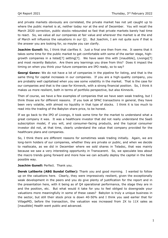and private markets obviously are correlated, the private market has not yet caught up to where the public market is at, neither today nor at the end of December. You will recall the March 2020 correction, public stocks rebounded so fast that private markets barely had time to react. So, we value all our companies at fair value and wherever the market is at the end of March will influence the valuations in our Q1. But Joachim, I am not quite sure if that is the answer you are looking for, so maybe you can clarify.

**Joachim Gunell:** No, I think that clarifies it. Just a final one then from me. It seems that it takes some time for the public market to get comfortable with some of the earlier stage, highgrowth companies in a listed[?] setting[?]. We have seen this with [inaudible], Livongo[?] and most recently Babylon. Are there any learnings you draw from this? Does it impact the timing on when you think your future companies are IPO ready, so to say?

**Georgi Ganev:** We do not have a lot of companies in the pipeline for listing, and that is the same thing for capital increases in our companies. If you are a high-quality company, you are probably well capitalised when you see some volatility in the market. That is the case for our companies and that is the case for Kinnevik, with a strong financial position. So, I think it makes us more resilient, both in terms of portfolio perspective, but also Kinnevik.

Then of course, we have a few examples of companies that we have seen weak trading, but I think those are for different reasons. If you look at SPAC transactions in general, they have been very volatile, with almost no liquidity in that type of stocks. I think it is too much to read into the trading of the Babylon share price, to be honest.

If we go back to the IPO of Livongo, it took some time for the market to understand what a great company it was. It was a healthcare investor that did not really understand the SaaS subscription model, if you will, and consumer-facing products, and the typical consumer investor did not, at that time, clearly understand the value that company provided for the healthcare plans and companies.

So, I think there are different reasons for sometimes weak trading initially. Again, we are long-term holders of our companies, whether they are private or public, and when we decide to reallocate, as we did in December where we sold shares in Teladoc, that was mainly because we saw a very interesting opportunity in Transcarent. So, we speculate less about the macro trends going forward and more how we can actually deploy the capital in the best possible way.

**Joachim Gunell:** Perfect. Thank you.

**Derek Laliberte (ABG Sundal Collier):** Thank you and good morning. I wanted to follow up on the valuations here. Clearly, they were impressively resilient, given the exceptionally weak development in the peers and you do give plenty of justification for the report and in the presentation here, with it being as of Q4 operational performance, the stage they are in and the position, etc. But what would it take for you to feel obliged to downgrade your valuations more meaningfully in some of these cases? Babylon is truly a unique business in the sector, but still their stock price is down 40-50% and I think you said earlier that for VillageMD, before the transaction, the valuation was increased from 2X to 11X sales as [inaudible] Health went public and advanced.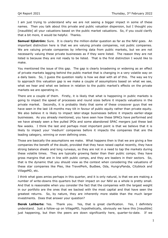I am just trying to understand why we are not seeing a bigger impact in some of these names. Then you talk about this private and public valuation dispersion, but I thought you [inaudible] all your valuations based on the public market valuations. So, if you could clarify that a bit more, it would be helpful. Thanks.

**Samuel Sjöström:** Sure. It is clearly the million-dollar question as far as the NAV goes. An important distinction here is that we are valuing private companies, not public companies. We are valuing private companies by inferring data from public markets, but we are not necessarily valuing these private businesses as if they were listed. The reason they are not listed is because they are not ready to be listed. That is the first distinction I would like to make.

You mentioned the issue of this gap. The gap is clearly broadening or widening as an effect of private markets lagging behind the public market that is changing in a very volatile way on a daily basis. So, I guess the question really is how we deal with all of this. The way we try to approach this valuation gap is we make a couple of assumptions based on what we see, what we hear and what we believe in relation to the public market's effects on the private markets we are operating in.

There are a couple of them. Firstly, it is likely that what is happening in public markets is going to impact the speed of processes and round sizes before it impacts valuations in the private market. Secondly, it is probably likely that some of these crossover guys that we have seen in the last 18 months may tilt in favour of public equity rather than private equity. We also believe it is likely to impact later-stage businesses before it impacts earlier-stage businesses. As you already mentioned, you have seen how these SPACs have performed and we have already seen a few pulled IPOs and some abandoned SPAC mergers just these last few weeks. I think the last and perhaps most important point is that we believe that it is likely to impact your 'medium' companies before it impacts the companies that are the leading category, winning or even defining ones.

Those are basically the assumptions we make. What happens then is that we are giving a few companies the benefit of the doubt, provided that they have raised capital recently, they have strong balance sheets and long runways, so they are not in a need to tap the markets during these volatile times. They are typically growing faster than their public comps; they have gross margins that are in line with public comps, and they are leaders in their sectors. So, that is the dynamic that you should view as the context when considering the valuations of these star companies like Pleo, like TravelPerk, Budbee, Oda, HungryPanda, Cityblock and VillageMD, etc.

I think what goes amiss perhaps in this quarter, and it is only natural, is that we are making a number of write-downs this quarters but their impact on our NAV as a whole is pretty small. And that is reasonable when you consider the fact that the companies with the largest weight in our portfolio are the ones that we backed with the most capital and that have seen the greatest returns. So, by nature, they are inherently more stable than the much larger investments. Does that answer your question?

**Derek Laliberte:** Yes. Thank you. Yes, that is great clarification. Yes, I definitely understand. Just a follow-up on VillageMD, hypothetically, obviously we have this [inaudible] just happening, but then the peers are down significantly here, quarter-to-date. If we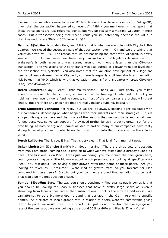assume these valuations were to be on 31<sup>st</sup> March, would that have any impact on VillageMD, given that the transaction happened so recently? I think you mentioned in the report that these transactions are just reference points, but you do basically a multiple valuation in most cases. But a transaction being that recent, could you still potentially decrease the value in that if valuations are 30% or 50% lower in Q1?

**Samuel Sjöström:** Most definitely, and I think that is what we are doing with Cityblock this quarter. We closed the secondary part of that transaction even in Q4 and we are taking that valuation down by 10%. The reason that we are not doing the same with VillageMD is pretty simple. In both instances, we have very transactions. VillageMD's transaction with Walgreen's is both larger and was agreed around two months later than the Cityblock transaction. The Walgreens-VMD partnership was also agreed at a lower valuation level than the transaction at Cityblock/. You also noted that the valuation development at Village has been a bit less extreme than at Cityblock, so there is arguably a bit less short-term valuation risk baked in at VMD, which is why that valuation remains flat this quarter whereas Cityblock is adjusted downwards.

**Derek Laliberte:** Okay. Great. That makes sense. Thank you. Just finally, you talked about the market climate is having an impact on the funding climate and a lot of your holdings have recently done funding rounds, so most of the companies are probably in great shape. But are there any ones here that are really needing funding, basically?

**Erika Söderberg Johnson:** Not really, but we are, as always, keeping tight dialogues with our companies, depending on what happens with their markets and their strategies. This is an open dialogue we have and that is one of the reasons that we want to be and remain well funded ourselves, so we can support if they need further funds in order to grow. But for the time being, as both Georgi and Samuel alluded to earlier, many of our companies have really strong financial positions in order to not be forced to tap into the markets within the volatile times.

**Derek Laliberte:** Thank you, Erika. That is very clear. That is all from me right now.

**Oskar Lindström (Danske Bank):** Hi. Good morning. There are three sets of questions from me, I am afraid, coming back a little bit to what we have talked about already quite a bit here. The first one is on Pleo. I was just wondering, you mentioned the peer group here, could you say maybe a little bit more about which peers you are looking at specifically for Pleo? You talk about Pleo having higher growth rates than some of these peers. Are you looking at revenues, I presume? What kind of growth rates do you forecast for Pleo compared to these peers? Just to put your comments around that valuation into context. That would be my first question please.

**Samuel Sjöström:** Sure. The way you should benchmark Pleo against public comps is that you should be looking for SaaS businesses that have a pretty large share of revenue stemming from transactions rather than subscriptions. That is the way we address it. We can attempt to be a bit more open around that perhaps in the Q1 in relation to specific names. As it relates to Pleo's growth rate in relation to peers, were we comfortable giving that data point, we would have in the report. But just as an indication the average growth rate of the peer group we are looking at is around 30% or 40% and Pleo is 3X or 4X that.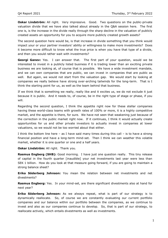**Oskar Lindström:** All right. Very impressive. Good. Two questions on the public-private valuation divide that we have also talked about already in the Q&A session here. The first one is, is the increase in the divide really through the sharp decline in the valuation of publicly created assets an opportunity for you to acquire more publicly created growth assets?

The second question here would be, is that increase in divide something that you think would impact your or your partner investors' ability or willingness to make more investments? Does it become more difficult to know what the true price is when you have that type of a divide, and then you would rather wait with investments?

**Georgi Ganev:** Yes. I can answer that. The first part of your question, would we be interested to invest in a publicly listed business if it is trading lower than an exciting private business we are looking at, of course that is possible. We have a wide investment mandate, and we can own companies that are public, we can invest in companies that are public as well. But again, we would not start from the valuation gap. We would start by looking at companies we really believe have strong over-arching tailwinds for the long-term. That is I think the starting point for us, as well as the team behind that business.

If we think that is something we really, really like and it excites us, we do not exclude it just because it is public. And it needs to, of course, be in the right type of stage or phase, if you will.

Regarding the second question, I think the appetite right now for these stellar companies having these world-class teams with growth rates of 100% or more, it is a highly competitive market, and the appetite is there, for sure. We have not seen that weakening just because of the correction in the public market right now. If it continues, I think it would actually create opportunities for us and other private investors to actually invest in companies at lower valuations, so we would not be too worried about that either.

I think the bottom line here – as I have said many times during this call – is to have a strong financial position and have a long-term mind-set. Then I think we can weather this volatile market, whether it is one quarter or one and a half years.

**Oskar Lindström:** All right. Thank you.

Rasmus Engberg (SHB): Good morning. I have just one question really. This tiny release of capital in the fourth quarter [inaudible] your net investments last year were less than SEK 1 billion. How do you look at that measure going forward, if you are going to maintain a strong balance sheet?

**Erika Söderberg Johnson:** You mean the relation between net investments and net divestments?

**Rasmus Engberg:** Yes. In your mind-set, are there significant divestments also at hand for next year?

**Erika Söderberg Johnson:** As we always repeat, what is part of our strategy is to dynamically reallocate. So, of course we are constantly evaluating our current portfolio companies and our balance within our portfolio between the companies, as we continue to invest and also as our companies continue to develop. So, that is part of our strategy, to reallocate actively, which entails divestments as well as investments.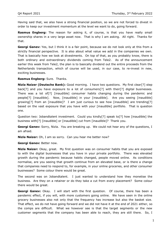Having said that, we also have a strong financial position, so we are not forced to divest in order to keep our investment momentum at the level we want to do, going forward.

**Rasmus Engberg:** The reason for asking it, of course, is that you have really small ownership shares in a very large asset now. That is why I am asking. All right. Thanks for that.

**Georgi Ganev:** Yes, but I think it is a fair point, because we do not look only at this from a strictly financial perspective. It is also about what value we add in the companies we own. That is basically how we look at divestments. On top of that, as you probably know, there is both ordinary and extraordinary dividends coming from Tele2. As of the announcement earlier this week from Tele2, the plan is to basically dividend out the entire proceeds from the Netherlands transaction, which of course will be used, in our case, to re-invest in new, exciting businesses.

# **Rasmus Engberg:** Sure. Thanks.

**Nizla Naizer (Deutsche Bank):** Good morning. I have two questions. My first clear[?] step back[?] and you have exposure to a lot of consumers[?] with their[?] digital businesses. There was a lot of[?] [inaudible] consumer habits changing during the pandemic and people[?] [inaudible]. Now, [inaudible] in your [inaudible]. Are you seeing [inaudible] growing[?] from an [inaudible]? I am just curious to see how [inaudible] are trending[?] based on the vast exposure that you have with your [inaudible] portfolio. That is question one.

Question two: Jobandtalent investment. Could you kindly[?] speak to[?] how [inaudible] the business with[?] [inaudible] or [inaudible] cut from [inaudible]? Thank you.

**Georgi Ganev:** Sorry, Nizla. You are breaking up. We could not hear any of the questions, I am afraid.

**Nizla Naizer:** Oh, I am so sorry. Can you hear me better now?

**Georgi Ganev:** Better now.

**Nizla Naizer:** Okay, great. My first question was on consumer habits that you are exposed to with the digital businesses that you have in your private portfolio. There was elevated growth during the pandemic because habits changed, people moved online. As conditions normalise, are you seeing that growth continue from an elevated base, or is there a change that companies need to respond to, for example, in your online groceries, and other consumer businesses? Some colour there would be great.

The second was on Jobandtalent. I just wanted to understand how they monetise the business. Are they on a retainer or do they take a cut from every placement? Some colour there would be great.

**Georgi Ganev:** Okay. I will start with the first question. Of course, there has been a pandemic effect, if you will, with more customers going online. We have seen in the online grocery businesses also not only that the frequency has increase but also the basket size. That effect, we do not have going forward and we did not have it at the end of 2021 either, so the comps are difficult. What we however see is that the target segments or the new customer segments that the company has been able to reach, they are still there. So, I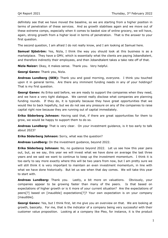definitely see that we have moved the baseline, so we are starting from a higher position in terms of penetration of these services. And as growth stabilises again and we move out of these extreme comps, especially when it comes to basket size of online grocery, we will have, again, strong growth from a higher level in terms of penetration. That is the answer to your first question.

The second question, I am afraid I do not really know, and I am looking at Samuel here.

**Samuel Sjöström:** Yes, Nizla, I think the way you should look at this business is as a marketplace. They have a GMV, which is essentially what the clients are paying Jobandtalent, and therefore indirectly their employees, and then Jobandtalent takes a take rate off of that.

**Nizla Naizer:** Okay, it makes sense. Thank you. Very helpful.

**Georgi Ganev:** Thank you, Nizla.

**Andreas Lundberg (SEB):** Thank you and good morning, everyone. I think you touched upon it in general terms. Are there any imminent funding needs in any of your holdings? That is my first question.

**Georgi Ganev:** As Erika said before, we are ready to support the companies when they need, and we have a very tight dialogue. We cannot really disclose what companies are planning funding rounds. If they do, it is typically because they have great opportunities that we would like to back hopefully, but we do not see any pressure on any of the companies to raise capital right now because they are running out of capital immediately.

**Erika Söderberg Johnson:** Having said that, if there are great opportunities for them to grow, we would be happy to support them to do so.

**Andreas Lundberg:** That is very clear. On your investment guidance, is it too early to talk about 2023?

**Erika Söderberg Johnson:** Sorry, what was the question?

**Andreas Lundberg:** On the investment guidance, beyond 2022.

**Erika Söderberg Johnson:** No, no guidance beyond 2022. Let us see how this year pans out, but, as we say, this year we will invest what we have done on average the last three years and we said we want to continue to keep up the investment momentum. I think it is too early to say more exactly where this will be two years from now, but I am pretty sure we will still think it is very important to maintain an even investment momentum, in line with what we have done historically. But let us see when that day comes. We will take this year to start with.

**Andreas Lundberg:** Thank you. Lastly, a bit more on valuations. Obviously, your companies appear to be growing faster than many of the peers. Is that based on expectations of higher growth or is it more of your current situation? Are the expectations of peers[?] based on [inaudible] expectations[?]? Your own expectation is on your company [inaudible].

**Georgi Ganev:** Yes, but I think first, let me give you an overview on that. We are looking at growth, basically. For me, that is the indicator of a company being very successful with their customer value proposition. Looking at a company like Pleo, for instance, it is the product